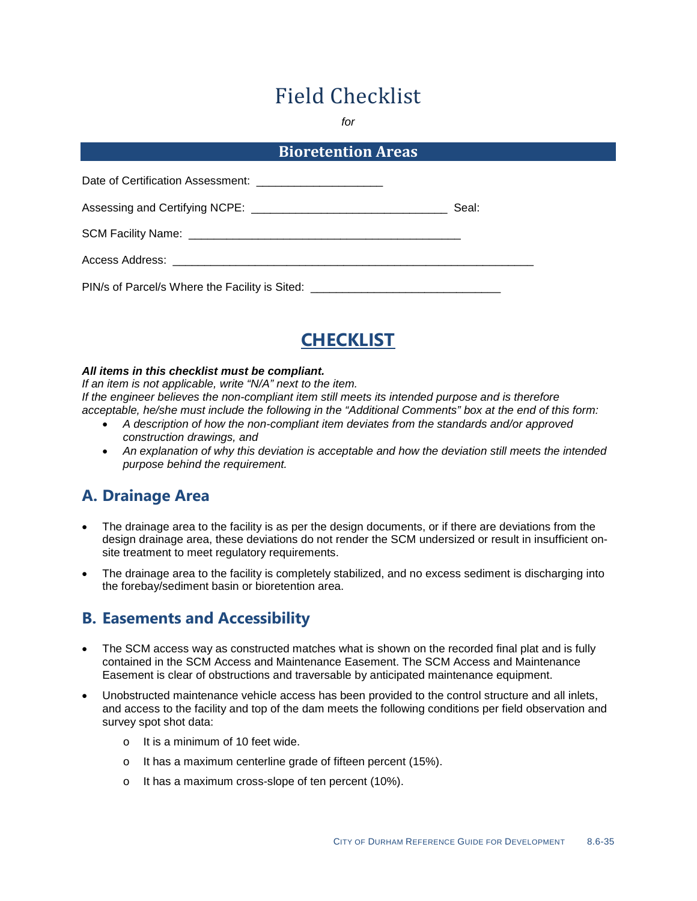# Field Checklist

*for*

#### **Bioretention Areas**

| Date of Certification Assessment: __________________________                     |       |
|----------------------------------------------------------------------------------|-------|
|                                                                                  | Seal: |
|                                                                                  |       |
| Access Address: __________________________________                               |       |
| PIN/s of Parcel/s Where the Facility is Sited: _________________________________ |       |



#### *All items in this checklist must be compliant.*

*If an item is not applicable, write "N/A" next to the item. If the engineer believes the non-compliant item still meets its intended purpose and is therefore acceptable, he/she must include the following in the "Additional Comments" box at the end of this form:*

- *A description of how the non-compliant item deviates from the standards and/or approved construction drawings, and*
- *An explanation of why this deviation is acceptable and how the deviation still meets the intended purpose behind the requirement.*

#### **A. Drainage Area**

- The drainage area to the facility is as per the design documents, or if there are deviations from the design drainage area, these deviations do not render the SCM undersized or result in insufficient onsite treatment to meet regulatory requirements.
- The drainage area to the facility is completely stabilized, and no excess sediment is discharging into the forebay/sediment basin or bioretention area.

#### **B. Easements and Accessibility**

- The SCM access way as constructed matches what is shown on the recorded final plat and is fully contained in the SCM Access and Maintenance Easement. The SCM Access and Maintenance Easement is clear of obstructions and traversable by anticipated maintenance equipment.
- Unobstructed maintenance vehicle access has been provided to the control structure and all inlets, and access to the facility and top of the dam meets the following conditions per field observation and survey spot shot data:
	- o It is a minimum of 10 feet wide.
	- o It has a maximum centerline grade of fifteen percent (15%).
	- o It has a maximum cross-slope of ten percent (10%).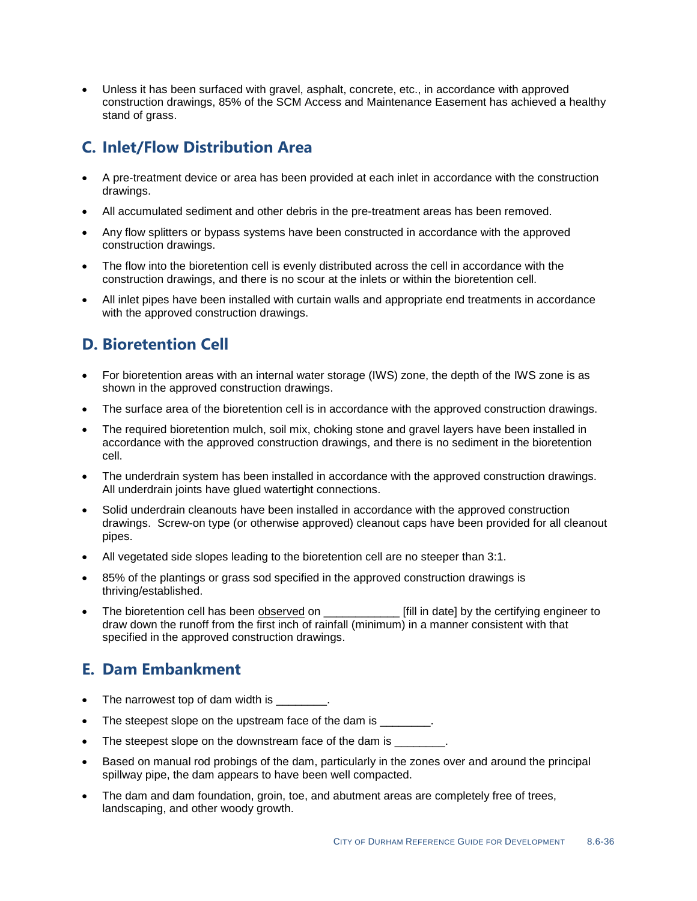• Unless it has been surfaced with gravel, asphalt, concrete, etc., in accordance with approved construction drawings, 85% of the SCM Access and Maintenance Easement has achieved a healthy stand of grass.

#### **C. Inlet/Flow Distribution Area**

- A pre-treatment device or area has been provided at each inlet in accordance with the construction drawings.
- All accumulated sediment and other debris in the pre-treatment areas has been removed.
- Any flow splitters or bypass systems have been constructed in accordance with the approved construction drawings.
- The flow into the bioretention cell is evenly distributed across the cell in accordance with the construction drawings, and there is no scour at the inlets or within the bioretention cell.
- All inlet pipes have been installed with curtain walls and appropriate end treatments in accordance with the approved construction drawings.

### **D. Bioretention Cell**

- For bioretention areas with an internal water storage (IWS) zone, the depth of the IWS zone is as shown in the approved construction drawings.
- The surface area of the bioretention cell is in accordance with the approved construction drawings.
- The required bioretention mulch, soil mix, choking stone and gravel layers have been installed in accordance with the approved construction drawings, and there is no sediment in the bioretention cell.
- The underdrain system has been installed in accordance with the approved construction drawings. All underdrain joints have glued watertight connections.
- Solid underdrain cleanouts have been installed in accordance with the approved construction drawings. Screw-on type (or otherwise approved) cleanout caps have been provided for all cleanout pipes.
- All vegetated side slopes leading to the bioretention cell are no steeper than 3:1.
- 85% of the plantings or grass sod specified in the approved construction drawings is thriving/established.
- The bioretention cell has been observed on **Example 2** [fill in date] by the certifying engineer to draw down the runoff from the first inch of rainfall (minimum) in a manner consistent with that specified in the approved construction drawings.

#### **E. Dam Embankment**

- The narrowest top of dam width is  $\qquad \qquad$ .
- The steepest slope on the upstream face of the dam is  $\qquad \qquad$ .
- The steepest slope on the downstream face of the dam is  $\qquad \qquad$ .
- Based on manual rod probings of the dam, particularly in the zones over and around the principal spillway pipe, the dam appears to have been well compacted.
- The dam and dam foundation, groin, toe, and abutment areas are completely free of trees, landscaping, and other woody growth.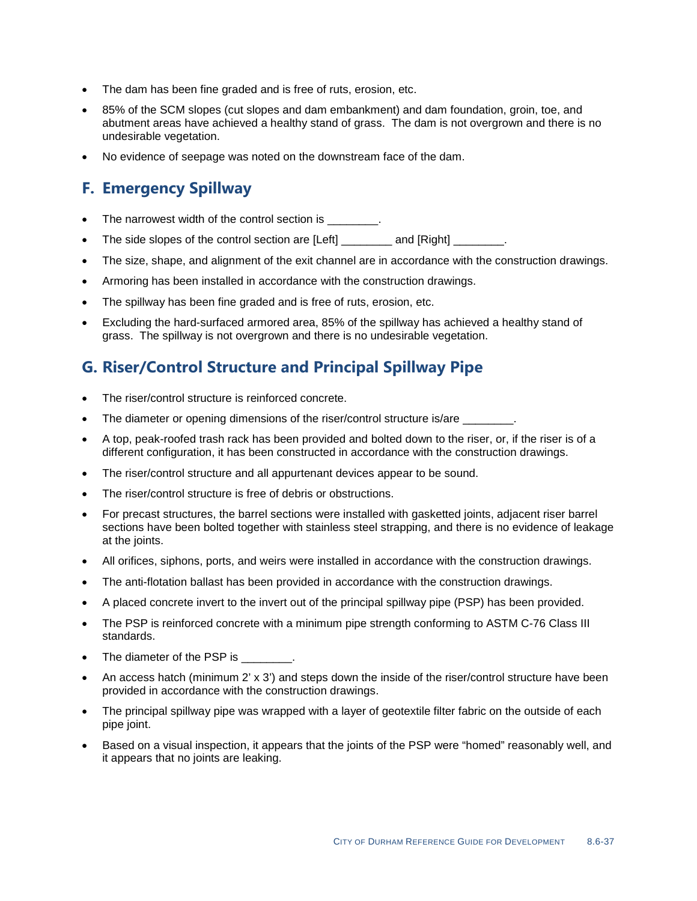- The dam has been fine graded and is free of ruts, erosion, etc.
- 85% of the SCM slopes (cut slopes and dam embankment) and dam foundation, groin, toe, and abutment areas have achieved a healthy stand of grass. The dam is not overgrown and there is no undesirable vegetation.
- No evidence of seepage was noted on the downstream face of the dam.

#### **F. Emergency Spillway**

- The narrowest width of the control section is  $\qquad \qquad$ .
- The side slopes of the control section are [Left] and [Right] and [Right]
- The size, shape, and alignment of the exit channel are in accordance with the construction drawings.
- Armoring has been installed in accordance with the construction drawings.
- The spillway has been fine graded and is free of ruts, erosion, etc.
- Excluding the hard-surfaced armored area, 85% of the spillway has achieved a healthy stand of grass. The spillway is not overgrown and there is no undesirable vegetation.

### **G. Riser/Control Structure and Principal Spillway Pipe**

- The riser/control structure is reinforced concrete.
- The diameter or opening dimensions of the riser/control structure is/are  $\qquad \qquad$ .
- A top, peak-roofed trash rack has been provided and bolted down to the riser, or, if the riser is of a different configuration, it has been constructed in accordance with the construction drawings.
- The riser/control structure and all appurtenant devices appear to be sound.
- The riser/control structure is free of debris or obstructions.
- For precast structures, the barrel sections were installed with gasketted joints, adjacent riser barrel sections have been bolted together with stainless steel strapping, and there is no evidence of leakage at the joints.
- All orifices, siphons, ports, and weirs were installed in accordance with the construction drawings.
- The anti-flotation ballast has been provided in accordance with the construction drawings.
- A placed concrete invert to the invert out of the principal spillway pipe (PSP) has been provided.
- The PSP is reinforced concrete with a minimum pipe strength conforming to ASTM C-76 Class III standards.
- The diameter of the PSP is \_\_\_\_\_\_\_\_.
- An access hatch (minimum 2' x 3') and steps down the inside of the riser/control structure have been provided in accordance with the construction drawings.
- The principal spillway pipe was wrapped with a layer of geotextile filter fabric on the outside of each pipe joint.
- Based on a visual inspection, it appears that the joints of the PSP were "homed" reasonably well, and it appears that no joints are leaking.